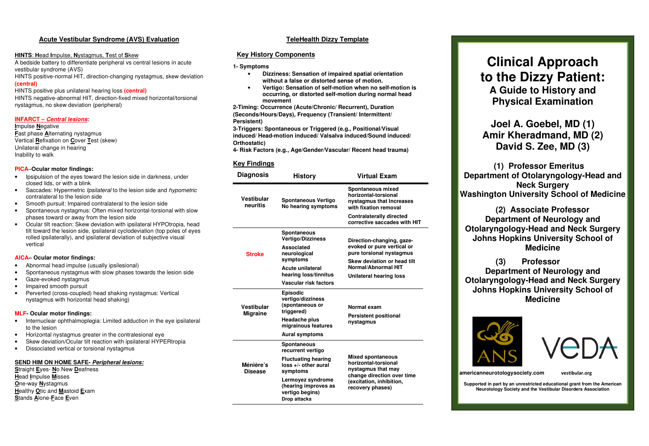# **Acute Vestibular Syndrome (AVS) Evaluation**

#### **HINTS**: **H**ead **I**mpulse, **N**ystagmus, **T**est of **S**kew

A bedside battery to differentiate peripheral vs central lesions in acute vestibular syndrome (AVS) HINTS positive-normal HIT, direction-changing nystagmus, skew deviation

#### **(central)**

HINTS positive plus unilateral hearing loss **(central)**  HINTS negative-abnormal HIT, direction-fixed mixed horizontal/torsional

# **INFARCT – Central lesions:**

**I**mpulse **N**egative

**F**ast phase **A**lternating nystagmus Vertical **R**efixation on **C**over **T**est (skew) Unilateral change in hearing Inability to walk

nystagmus, no skew deviation (peripheral)

#### **PICA**–**Ocular motor findings:**

- Ipsipulsion of the eyes toward the lesion side in darkness, under closed lids, or with a blink
- Saccades: Hypermetric *Ipsilateral* to the lesion side and *hypometric* contralateral to the lesion side
- Smooth pursuit: Impaired contralateral to the lesion side
- Spontaneous nystagmus: Often mixed horizontal-torsional with slow phases toward or away from the lesion side
- Ocular tilt reaction: Skew deviation with ipsilateral HYPOtropia, head tilt toward the lesion side, ipsilateral cyclodeviation (top poles of eyes rolled ipsilaterally), and ipsilateral deviation of subjective visual vertical

#### **AICA– Ocular motor findings:**

- Abnormal head impulse (usually ipsilesional)
- Spontaneous nystagmus with slow phases towards the lesion side
- Gaze-evoked nystagmus
- Impaired smooth pursuit
- Perverted (cross-coupled) head shaking nystagmus: Vertical nystagmus with horizontal head shaking)

#### **MLF- Ocular motor findings:**

- Internuclear ophthalmoplegia: Limited adduction in the eye ipsilateral to the lesion
- Horizontal nystagmus greater in the contralesional eye
- Skew deviation/Ocular tilt reaction with ipsilateral HYPERtropia
- Dissociated vertical or torsional nystagmus

#### **SEND HIM ON HOME SAFE- Peripheral lesions:**

**S**traight **E**yes- **N**o New **D**eafness **H**ead **I**mpulse **M**isses **O**ne-way **N**ystagmus **H**ealthy **O**tic and **M**astoid **E**xam **S**tands **A**lone-**F**ace **E**ven

# **TeleHealth Dizzy Template**

#### **Key History Components**

#### **1- Symptoms**

- **Dizziness: Sensation of impaired spatial orientation without a false or distorted sense of motion.**
- **Vertigo: Sensation of self-motion when no self-motion is occurring, or distorted self-motion during normal head movement**

**2-Timing: Occurrence (Acute/Chronic/ Recurrent), Duration (Seconds/Hours/Days), Frequency (Transient/ Intermittent/ Persistent)** 

**3-Triggers: Spontaneous or Triggered (e.g., Positional/Visual induced/ Head-motion induced/ Valsalva induced/Sound induced/ Orthostatic)** 

**4- Risk Factors (e.g., Age/Gender/Vascular/ Recent head trauma)** 

### **Key Findings**

| <b>Diagnosis</b>              | History                                                                                                                                                                            | <b>Virtual Exam</b>                                                                                                                                                  |  |
|-------------------------------|------------------------------------------------------------------------------------------------------------------------------------------------------------------------------------|----------------------------------------------------------------------------------------------------------------------------------------------------------------------|--|
| Vestibular<br>neuritis        | Spontaneous Vertigo<br>No hearing symptoms                                                                                                                                         | Spontaneous mixed<br>horizontal-torsional<br>nystagmus that Increases<br>with fixation removal                                                                       |  |
|                               |                                                                                                                                                                                    | <b>Contralaterally directed</b><br>corrective saccades with HIT                                                                                                      |  |
| <b>Stroke</b>                 | Spontaneous<br><b>Vertigo/Dizziness</b><br>Associated<br>neurological<br>symptoms<br>Acute unilateral<br>hearing loss/tinnitus<br>Vascular risk factors                            | Direction-changing, gaze-<br>evoked or pure vertical or<br>pure torsional nystagmus<br>Skew deviation or head tilt<br>Normal/Abnormal HIT<br>Unilateral hearing loss |  |
| Vestibular<br><b>Migraine</b> | <b>Episodic</b><br>vertigo/dizziness<br>(spontaneous or<br>triggered)<br><b>Headache plus</b><br>migrainous features<br>Aural symptoms                                             | Normal exam<br><b>Persistent positional</b><br>nystagmus                                                                                                             |  |
| Ménière's<br><b>Disease</b>   | Spontaneous<br>recurrent vertigo<br><b>Fluctuating hearing</b><br>$loss +$ other aural<br>symptoms<br>Lermoyez syndrome<br>(hearing improves as<br>vertigo begins)<br>Drop attacks | <b>Mixed spontaneous</b><br>horizontal-torsional<br>nystagmus that may<br>change direction over time<br>(excitation, inhibition,<br>recovery phases)                 |  |

# **Clinical Approach to the Dizzy Patient: A Guide to History and Physical Examination**

**Joel A. Goebel, MD (1) Amir Kheradmand, MD (2) David S. Zee, MD (3)**

**(1) Professor Emeritus Department of Otolaryngology-Head and Neck Surgery Washington University School of Medicine**

 **(2) Associate Professor Department of Neurology and Otolaryngology-Head and Neck Surgery Johns Hopkins University School of Medicine** 

 **(3) Professor Department of Neurology and Otolaryngology-Head and Neck Surgery Johns Hopkins University School of Medicine** 





**americanneurotologysociety.com vestibular.org**

**Supported in part by an unrestricted educational grant from the American Neurotology Society and the Vestibular Disorders Association**